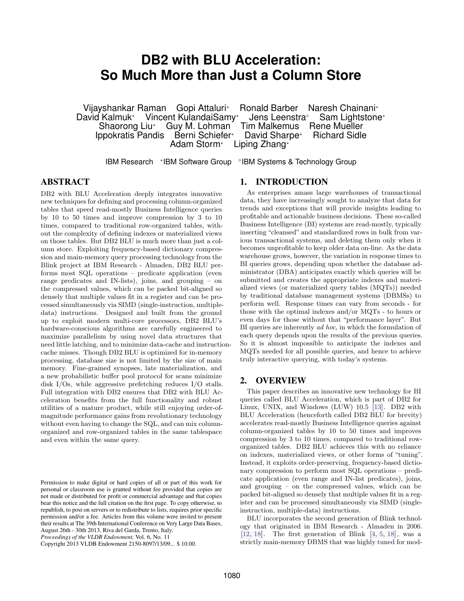# **DB2 with BLU Acceleration: So Much More than Just a Column Store**

Vijayshankar Raman Gopi Attaluri\* Ronald Barber Naresh Chainani\* David Kalmuk\* Vincent KulandaiSamy\* Jens Leenstra<sup>®</sup> Sam Lightstone\* Vincent KulandaiSamy<sup>\*</sup> Jens Leenstra<sup>®</sup> Sam Lights<br>Liu<sup>\*</sup> Guy M. Lohman Tim Malkemus Rene Mueller Shaorong Liu<sup>\*</sup> Guy M. Lohman Tim Malkemus<br>ppokratis Pandis Berni Schiefer\* David Sharpe\* Ippokratis Pandis Berni Schiefer\* David Sharpe\* Richard Sidle Adam Storm<sup>\*</sup> Liping Zhang\*

IBM Research \*IBM Software Group <sup>.</sup>IBM Systems & Technology Group

## ABSTRACT

DB2 with BLU Acceleration deeply integrates innovative new techniques for defining and processing column-organized tables that speed read-mostly Business Intelligence queries by 10 to 50 times and improve compression by 3 to 10 times, compared to traditional row-organized tables, without the complexity of defining indexes or materialized views on those tables. But DB2 BLU is much more than just a column store. Exploiting frequency-based dictionary compression and main-memory query processing technology from the Blink project at IBM Research - Almaden, DB2 BLU performs most SQL operations – predicate application (even range predicates and IN-lists), joins, and grouping – on the compressed values, which can be packed bit-aligned so densely that multiple values fit in a register and can be processed simultaneously via SIMD (single-instruction, multipledata) instructions. Designed and built from the ground up to exploit modern multi-core processors, DB2 BLU's hardware-conscious algorithms are carefully engineered to maximize parallelism by using novel data structures that need little latching, and to minimize data-cache and instructioncache misses. Though DB2 BLU is optimized for in-memory processing, database size is not limited by the size of main memory. Fine-grained synopses, late materialization, and a new probabilistic buffer pool protocol for scans minimize disk I/Os, while aggressive prefetching reduces I/O stalls. Full integration with DB2 ensures that DB2 with BLU Acceleration benefits from the full functionality and robust utilities of a mature product, while still enjoying order-ofmagnitude performance gains from revolutionary technology without even having to change the SQL, and can mix columnorganized and row-organized tables in the same tablespace and even within the same query.

*Proceedings of the VLDB Endowment,* Vol. 6, No. 11

Copyright 2013 VLDB Endowment 2150-8097/13/09... \$ 10.00.

## 1. INTRODUCTION

As enterprises amass large warehouses of transactional data, they have increasingly sought to analyze that data for trends and exceptions that will provide insights leading to profitable and actionable business decisions. These so-called Business Intelligence (BI) systems are read-mostly, typically inserting "cleansed" and standardized rows in bulk from various transactional systems, and deleting them only when it becomes unprofitable to keep older data on-line. As the data warehouse grows, however, the variation in response times to BI queries grows, depending upon whether the database administrator (DBA) anticipates exactly which queries will be submitted and creates the appropriate indexes and materialized views (or materialized query tables (MQTs)) needed by traditional database management systems (DBMSs) to perform well. Response times can vary from seconds - for those with the optimal indexes and/or MQTs - to hours or even days for those without that "performance layer". But BI queries are inherently ad hoc, in which the formulation of each query depends upon the results of the previous queries. So it is almost impossible to anticipate the indexes and MQTs needed for all possible queries, and hence to achieve truly interactive querying, with today's systems.

## 2. OVERVIEW

This paper describes an innovative new technology for BI queries called BLU Acceleration, which is part of DB2 for Linux, UNIX, and Windows (LUW) 10.5 [13]. DB2 with BLU Acceleration (henceforth called DB2 BLU for brevity) accelerates read-mostly Business Intelligence queries against column-organized tables by 10 to 50 times and improves compression by 3 to 10 times, compared to traditional roworganized tables. DB2 BLU achieves this with no reliance on indexes, materialized views, or other forms of "tuning". Instead, it exploits order-preserving, frequency-based dictionary compression to perform most SQL operations – predicate application (even range and IN-list predicates), joins, and grouping – on the compressed values, which can be packed bit-aligned so densely that multiple values fit in a register and can be processed simultaneously via SIMD (singleinstruction, multiple-data) instructions.

BLU incorporates the second generation of Blink technology that originated in IBM Research - Almaden in 2006. [12, 18]. The first generation of Blink  $[4, 5, 18]$ , was a strictly main-memory DBMS that was highly tuned for mod-

Permission to make digital or hard copies of all or part of this work for personal or classroom use is granted without fee provided that copies are not made or distributed for profit or commercial advantage and that copies bear this notice and the full citation on the first page. To copy otherwise, to republish, to post on servers or to redistribute to lists, requires prior specific permission and/or a fee. Articles from this volume were invited to present their results at The 39th International Conference on Very Large Data Bases, August 26th - 30th 2013, Riva del Garda, Trento, Italy.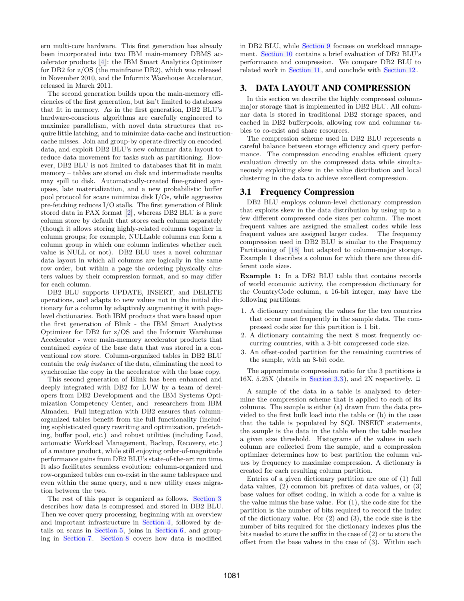ern multi-core hardware. This first generation has already been incorporated into two IBM main-memory DBMS accelerator products [4]: the IBM Smart Analytics Optimizer for DB2 for z/OS (the mainframe DB2), which was released in November 2010, and the Informix Warehouse Accelerator, released in March 2011.

The second generation builds upon the main-memory efficiencies of the first generation, but isn't limited to databases that fit in memory. As in the first generation, DB2 BLU's hardware-conscious algorithms are carefully engineered to maximize parallelism, with novel data structures that require little latching, and to minimize data-cache and instructioncache misses. Join and group-by operate directly on encoded data, and exploit DB2 BLU's new columnar data layout to reduce data movement for tasks such as partitioning. However, DB2 BLU is not limited to databases that fit in main memory – tables are stored on disk and intermediate results may spill to disk. Automatically-created fine-grained synopses, late materialization, and a new probabilistic buffer pool protocol for scans minimize disk I/Os, while aggressive pre-fetching reduces I/O stalls. The first generation of Blink stored data in PAX format [2], whereas DB2 BLU is a pure column store by default that stores each column separately (though it allows storing highly-related columns together in column groups; for example, NULLable columns can form a column group in which one column indicates whether each value is NULL or not). DB2 BLU uses a novel columnar data layout in which all columns are logically in the same row order, but within a page the ordering physically clusters values by their compression format, and so may differ for each column.

DB2 BLU supports UPDATE, INSERT, and DELETE operations, and adapts to new values not in the initial dictionary for a column by adaptively augmenting it with pagelevel dictionaries. Both IBM products that were based upon the first generation of Blink - the IBM Smart Analytics Optimizer for DB2 for z/OS and the Informix Warehouse Accelerator - were main-memory accelerator products that contained copies of the base data that was stored in a conventional row store. Column-organized tables in DB2 BLU contain the only instance of the data, eliminating the need to synchronize the copy in the accelerator with the base copy.

This second generation of Blink has been enhanced and deeply integrated with DB2 for LUW by a team of developers from DB2 Development and the IBM Systems Optimization Competency Center, and researchers from IBM Almaden. Full integration with DB2 ensures that columnorganized tables benefit from the full functionality (including sophisticated query rewriting and optimization, prefetching, buffer pool, etc.) and robust utilities (including Load, automatic Workload Management, Backup, Recovery, etc.) of a mature product, while still enjoying order-of-magnitude performance gains from DB2 BLU's state-of-the-art run time. It also facilitates seamless evolution: column-organized and row-organized tables can co-exist in the same tablespace and even within the same query, and a new utility eases migration between the two.

The rest of this paper is organized as follows. Section 3 describes how data is compressed and stored in DB2 BLU. Then we cover query processing, beginning with an overview and important infrastructure in Section 4, followed by details on scans in Section 5, joins in Section 6, and grouping in Section 7. Section 8 covers how data is modified

in DB2 BLU, while Section 9 focuses on workload management. Section 10 contains a brief evaluation of DB2 BLU's performance and compression. We compare DB2 BLU to related work in Section 11, and conclude with Section 12.

# 3. DATA LAYOUT AND COMPRESSION

In this section we describe the highly compressed columnmajor storage that is implemented in DB2 BLU. All columnar data is stored in traditional DB2 storage spaces, and cached in DB2 bufferpools, allowing row and columnar tables to co-exist and share resources.

The compression scheme used in DB2 BLU represents a careful balance between storage efficiency and query performance. The compression encoding enables efficient query evaluation directly on the compressed data while simultaneously exploiting skew in the value distribution and local clustering in the data to achieve excellent compression.

## 3.1 Frequency Compression

DB2 BLU employs column-level dictionary compression that exploits skew in the data distribution by using up to a few different compressed code sizes per column. The most frequent values are assigned the smallest codes while less frequent values are assigned larger codes. The frequency compression used in DB2 BLU is similar to the Frequency Partitioning of [18] but adapted to column-major storage. Example 1 describes a column for which there are three different code sizes.

Example 1: In a DB2 BLU table that contains records of world economic activity, the compression dictionary for the CountryCode column, a 16-bit integer, may have the following partitions:

- 1. A dictionary containing the values for the two countries that occur most frequently in the sample data. The compressed code size for this partition is 1 bit.
- 2. A dictionary containing the next 8 most frequently occurring countries, with a 3-bit compressed code size.
- 3. An offset-coded partition for the remaining countries of the sample, with an 8-bit code.

The approximate compression ratio for the 3 partitions is 16X, 5.25X (details in Section 3.3), and 2X respectively.  $\Box$ 

A sample of the data in a table is analyzed to determine the compression scheme that is applied to each of its columns. The sample is either (a) drawn from the data provided to the first bulk load into the table or (b) in the case that the table is populated by SQL INSERT statements, the sample is the data in the table when the table reaches a given size threshold. Histograms of the values in each column are collected from the sample, and a compression optimizer determines how to best partition the column values by frequency to maximize compression. A dictionary is created for each resulting column partition.

Entries of a given dictionary partition are one of (1) full data values, (2) common bit prefixes of data values, or (3) base values for offset coding, in which a code for a value is the value minus the base value. For (1), the code size for the partition is the number of bits required to record the index of the dictionary value. For (2) and (3), the code size is the number of bits required for the dictionary indexes plus the bits needed to store the suffix in the case of (2) or to store the offset from the base values in the case of (3). Within each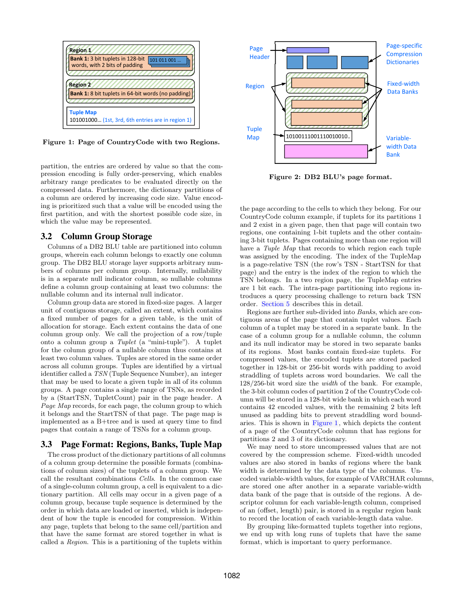

Figure 1: Page of CountryCode with two Regions.

partition, the entries are ordered by value so that the compression encoding is fully order-preserving, which enables arbitrary range predicates to be evaluated directly on the compressed data. Furthermore, the dictionary partitions of a column are ordered by increasing code size. Value encoding is prioritized such that a value will be encoded using the first partition, and with the shortest possible code size, in which the value may be represented.

# 3.2 Column Group Storage

Columns of a DB2 BLU table are partitioned into column groups, wherein each column belongs to exactly one column group. The DB2 BLU storage layer supports arbitrary numbers of columns per column group. Internally, nullability is in a separate null indicator column, so nullable columns define a column group containing at least two columns: the nullable column and its internal null indicator.

Column group data are stored in fixed-size pages. A larger unit of contiguous storage, called an extent, which contains a fixed number of pages for a given table, is the unit of allocation for storage. Each extent contains the data of one column group only. We call the projection of a row/tuple onto a column group a Tuplet (a "mini-tuple"). A tuplet for the column group of a nullable column thus contains at least two column values. Tuples are stored in the same order across all column groups. Tuples are identified by a virtual identifier called a TSN (Tuple Sequence Number), an integer that may be used to locate a given tuple in all of its column groups. A page contains a single range of TSNs, as recorded by a (StartTSN, TupletCount) pair in the page header. A Page Map records, for each page, the column group to which it belongs and the StartTSN of that page. The page map is implemented as a B+tree and is used at query time to find pages that contain a range of TSNs for a column group.

# 3.3 Page Format: Regions, Banks, Tuple Map

The cross product of the dictionary partitions of all columns of a column group determine the possible formats (combinations of column sizes) of the tuplets of a column group. We call the resultant combinations Cells. In the common case of a single-column column group, a cell is equivalent to a dictionary partition. All cells may occur in a given page of a column group, because tuple sequence is determined by the order in which data are loaded or inserted, which is independent of how the tuple is encoded for compression. Within any page, tuplets that belong to the same cell/partition and that have the same format are stored together in what is called a Region. This is a partitioning of the tuplets within



Figure 2: DB2 BLU's page format.

the page according to the cells to which they belong. For our CountryCode column example, if tuplets for its partitions 1 and 2 exist in a given page, then that page will contain two regions, one containing 1-bit tuplets and the other containing 3-bit tuplets. Pages containing more than one region will have a *Tuple Map* that records to which region each tuple was assigned by the encoding. The index of the TupleMap is a page-relative TSN (the row's TSN - StartTSN for that page) and the entry is the index of the region to which the TSN belongs. In a two region page, the TupleMap entries are 1 bit each. The intra-page partitioning into regions introduces a query processing challenge to return back TSN order. Section 5 describes this in detail.

Regions are further sub-divided into Banks, which are contiguous areas of the page that contain tuplet values. Each column of a tuplet may be stored in a separate bank. In the case of a column group for a nullable column, the column and its null indicator may be stored in two separate banks of its regions. Most banks contain fixed-size tuplets. For compressed values, the encoded tuplets are stored packed together in 128-bit or 256-bit words with padding to avoid straddling of tuplets across word boundaries. We call the 128/256-bit word size the width of the bank. For example, the 3-bit column codes of partition 2 of the CountryCode column will be stored in a 128-bit wide bank in which each word contains 42 encoded values, with the remaining 2 bits left unused as padding bits to prevent straddling word boundaries. This is shown in Figure 1, which depicts the content of a page of the CountryCode column that has regions for partitions 2 and 3 of its dictionary.

We may need to store uncompressed values that are not covered by the compression scheme. Fixed-width uncoded values are also stored in banks of regions where the bank width is determined by the data type of the columns. Uncoded variable-width values, for example of VARCHAR columns, are stored one after another in a separate variable-width data bank of the page that is outside of the regions. A descriptor column for each variable-length column, comprised of an (offset, length) pair, is stored in a regular region bank to record the location of each variable-length data value.

By grouping like-formatted tuplets together into regions, we end up with long runs of tuplets that have the same format, which is important to query performance.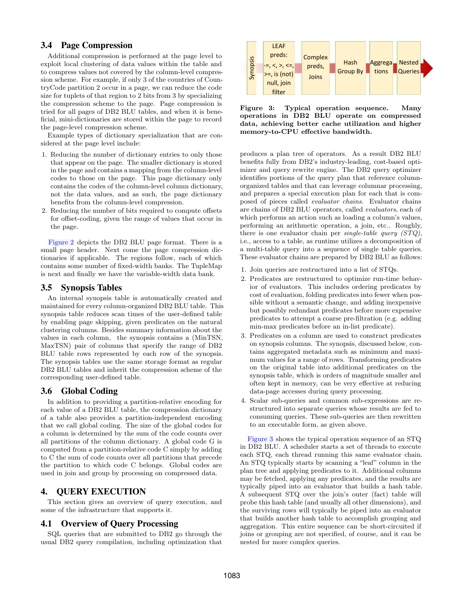## 3.4 Page Compression

Additional compression is performed at the page level to exploit local clustering of data values within the table and to compress values not covered by the column-level compression scheme. For example, if only 3 of the countries of CountryCode partition 2 occur in a page, we can reduce the code size for tuplets of that region to 2 bits from 3 by specializing the compression scheme to the page. Page compression is tried for all pages of DB2 BLU tables, and when it is beneficial, mini-dictionaries are stored within the page to record the page-level compression scheme.

Example types of dictionary specialization that are considered at the page level include:

- 1. Reducing the number of dictionary entries to only those that appear on the page. The smaller dictionary is stored in the page and contains a mapping from the column-level codes to those on the page. This page dictionary only contains the codes of the column-level column dictionary, not the data values, and as such, the page dictionary benefits from the column-level compression.
- 2. Reducing the number of bits required to compute offsets for offset-coding, given the range of values that occur in the page.

Figure 2 depicts the DB2 BLU page format. There is a small page header. Next come the page compression dictionaries if applicable. The regions follow, each of which contains some number of fixed-width banks. The TupleMap is next and finally we have the variable-width data bank.

# 3.5 Synopsis Tables

An internal synopsis table is automatically created and maintained for every column-organized DB2 BLU table. This synopsis table reduces scan times of the user-defined table by enabling page skipping, given predicates on the natural clustering columns. Besides summary information about the values in each column, the synopsis contains a (MinTSN, MaxTSN) pair of columns that specify the range of DB2 BLU table rows represented by each row of the synopsis. The synopsis tables use the same storage format as regular DB2 BLU tables and inherit the compression scheme of the corresponding user-defined table.

## 3.6 Global Coding

In addition to providing a partition-relative encoding for each value of a DB2 BLU table, the compression dictionary of a table also provides a partition-independent encoding that we call global coding. The size of the global codes for a column is determined by the sum of the code counts over all partitions of the column dictionary. A global code G is computed from a partition-relative code C simply by adding to C the sum of code counts over all partitions that precede the partition to which code C belongs. Global codes are used in join and group by processing on compressed data.

# 4. QUERY EXECUTION

This section gives an overview of query execution, and some of the infrastructure that supports it.

## 4.1 Overview of Query Processing

SQL queries that are submitted to DB2 go through the usual DB2 query compilation, including optimization that



Figure 3: Typical operation sequence. Many operations in DB2 BLU operate on compressed data, achieving better cache utilization and higher memory-to-CPU effective bandwidth.

produces a plan tree of operators. As a result DB2 BLU benefits fully from DB2's industry-leading, cost-based optimizer and query rewrite engine. The DB2 query optimizer identifies portions of the query plan that reference columnorganized tables and that can leverage columnar processing, and prepares a special execution plan for each that is composed of pieces called evaluator chains. Evaluator chains are chains of DB2 BLU operators, called evaluators, each of which performs an action such as loading a column's values, performing an arithmetic operation, a join, etc.. Roughly, there is one evaluator chain per single-table query (STQ), i.e., access to a table, as runtime utilizes a decomposition of a multi-table query into a sequence of single table queries. These evaluator chains are prepared by DB2 BLU as follows:

- 1. Join queries are restructured into a list of STQs.
- 2. Predicates are restructured to optimize run-time behavior of evaluators. This includes ordering predicates by cost of evaluation, folding predicates into fewer when possible without a semantic change, and adding inexpensive but possibly redundant predicates before more expensive predicates to attempt a coarse pre-filtration (e.g. adding min-max predicates before an in-list predicate).
- 3. Predicates on a column are used to construct predicates on synopsis columns. The synopsis, discussed below, contains aggregated metadata such as minimum and maximum values for a range of rows. Transforming predicates on the original table into additional predicates on the synopsis table, which is orders of magnitude smaller and often kept in memory, can be very effective at reducing data-page accesses during query processing.
- 4. Scalar sub-queries and common sub-expressions are restructured into separate queries whose results are fed to consuming queries. These sub-queries are then rewritten to an executable form, as given above.

Figure 3 shows the typical operation sequence of an STQ in DB2 BLU. A scheduler starts a set of threads to execute each STQ, each thread running this same evaluator chain. An STQ typically starts by scanning a "leaf" column in the plan tree and applying predicates to it. Additional columns may be fetched, applying any predicates, and the results are typically piped into an evaluator that builds a hash table. A subsequent STQ over the join's outer (fact) table will probe this hash table (and usually all other dimensions), and the surviving rows will typically be piped into an evaluator that builds another hash table to accomplish grouping and aggregation. This entire sequence can be short-circuited if joins or grouping are not specified, of course, and it can be nested for more complex queries.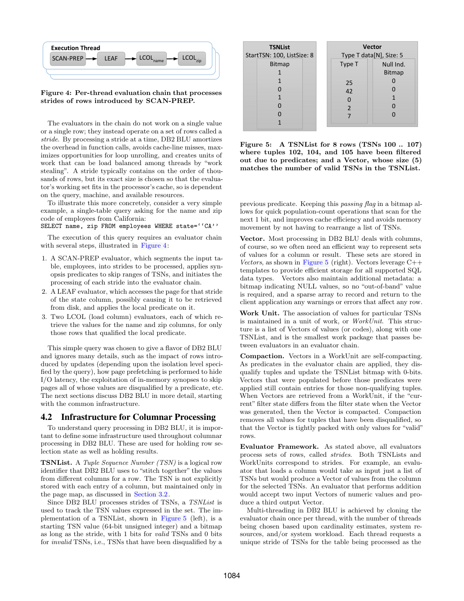

## Figure 4: Per-thread evaluation chain that processes strides of rows introduced by SCAN-PREP.

The evaluators in the chain do not work on a single value or a single row; they instead operate on a set of rows called a stride. By processing a stride at a time, DB2 BLU amortizes the overhead in function calls, avoids cache-line misses, maximizes opportunities for loop unrolling, and creates units of work that can be load balanced among threads by "work stealing". A stride typically contains on the order of thousands of rows, but its exact size is chosen so that the evaluator's working set fits in the processor's cache, so is dependent on the query, machine, and available resources.

To illustrate this more concretely, consider a very simple example, a single-table query asking for the name and zip code of employees from California:

SELECT name, zip FROM employees WHERE state=''CA''

The execution of this query requires an evaluator chain with several steps, illustrated in Figure 4:

- 1. A SCAN-PREP evaluator, which segments the input table, employees, into strides to be processed, applies synopsis predicates to skip ranges of TSNs, and initiates the processing of each stride into the evaluator chain.
- 2. A LEAF evaluator, which accesses the page for that stride of the state column, possibly causing it to be retrieved from disk, and applies the local predicate on it.
- 3. Two LCOL (load column) evaluators, each of which retrieve the values for the name and zip columns, for only those rows that qualified the local predicate.

This simple query was chosen to give a flavor of DB2 BLU and ignores many details, such as the impact of rows introduced by updates (depending upon the isolation level specified by the query), how page prefetching is performed to hide I/O latency, the exploitation of in-memory synopses to skip pages all of whose values are disqualified by a predicate, etc. The next sections discuss DB2 BLU in more detail, starting with the common infrastructure.

# 4.2 Infrastructure for Columnar Processing

To understand query processing in DB2 BLU, it is important to define some infrastructure used throughout columnar processing in DB2 BLU. These are used for holding row selection state as well as holding results.

TSNList. A Tuple Sequence Number (TSN) is a logical row identifier that DB2 BLU uses to "stitch together" the values from different columns for a row. The TSN is not explicitly stored with each entry of a column, but maintained only in the page map, as discussed in Section 3.2.

Since DB2 BLU processes strides of TSNs, a TSNList is used to track the TSN values expressed in the set. The implementation of a TSNList, shown in Figure 5 (left), is a starting TSN value (64-bit unsigned integer) and a bitmap as long as the stride, with 1 bits for valid TSNs and 0 bits for invalid TSNs, i.e., TSNs that have been disqualified by a

| <b>TSNList</b>             | <b>Vector</b>            |               |
|----------------------------|--------------------------|---------------|
| StartTSN: 100, ListSize: 8 | Type T data[N], Size: 5  |               |
| <b>Bitmap</b>              | Type T                   | Null Ind.     |
|                            |                          | <b>Bitmap</b> |
|                            | 25                       |               |
|                            | 42                       |               |
|                            | n                        |               |
|                            | $\overline{\phantom{a}}$ |               |
|                            |                          |               |
|                            |                          |               |

Figure 5: A TSNList for 8 rows (TSNs 100 .. 107) where tuples 102, 104, and 105 have been filtered out due to predicates; and a Vector, whose size (5) matches the number of valid TSNs in the TSNList.

previous predicate. Keeping this passing flag in a bitmap allows for quick population-count operations that scan for the next 1 bit, and improves cache efficiency and avoids memory movement by not having to rearrange a list of TSNs.

Vector. Most processing in DB2 BLU deals with columns, of course, so we often need an efficient way to represent sets of values for a column or result. These sets are stored in *Vectors*, as shown in Figure 5 (right). Vectors leverage  $C++$ templates to provide efficient storage for all supported SQL data types. Vectors also maintain additional metadata: a bitmap indicating NULL values, so no "out-of-band" value is required, and a sparse array to record and return to the client application any warnings or errors that affect any row.

Work Unit. The association of values for particular TSNs is maintained in a unit of work, or WorkUnit. This structure is a list of Vectors of values (or codes), along with one TSNList, and is the smallest work package that passes between evaluators in an evaluator chain.

Compaction. Vectors in a WorkUnit are self-compacting. As predicates in the evaluator chain are applied, they disqualify tuples and update the TSNList bitmap with 0-bits. Vectors that were populated before those predicates were applied still contain entries for those non-qualifying tuples. When Vectors are retrieved from a WorkUnit, if the "current" filter state differs from the filter state when the Vector was generated, then the Vector is compacted. Compaction removes all values for tuples that have been disqualified, so that the Vector is tightly packed with only values for "valid" rows.

Evaluator Framework. As stated above, all evaluators process sets of rows, called strides. Both TSNLists and WorkUnits correspond to strides. For example, an evaluator that loads a column would take as input just a list of TSNs but would produce a Vector of values from the column for the selected TSNs. An evaluator that performs addition would accept two input Vectors of numeric values and produce a third output Vector.

Multi-threading in DB2 BLU is achieved by cloning the evaluator chain once per thread, with the number of threads being chosen based upon cardinality estimates, system resources, and/or system workload. Each thread requests a unique stride of TSNs for the table being processed as the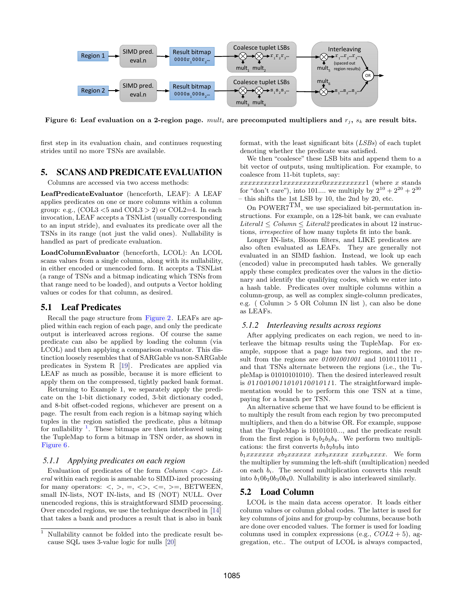

Figure 6: Leaf evaluation on a 2-region page.  $mult_i$  are precomputed multipliers and  $r_i$ ,  $s_k$  are result bits.

first step in its evaluation chain, and continues requesting strides until no more TSNs are available.

## 5. SCANS AND PREDICATE EVALUATION

Columns are accessed via two access methods:

LeafPredicateEvaluator (henceforth, LEAF): A LEAF applies predicates on one or more columns within a column group: e.g.,  $(COL3 < 5$  and  $COL3 > 2)$  or  $COL2=4$ . In each invocation, LEAF accepts a TSNList (usually corresponding to an input stride), and evaluates its predicate over all the TSNs in its range (not just the valid ones). Nullability is handled as part of predicate evaluation.

LoadColumnEvaluator (henceforth, LCOL): An LCOL scans values from a single column, along with its nullability, in either encoded or unencoded form. It accepts a TSNList (a range of TSNs and a bitmap indicating which TSNs from that range need to be loaded), and outputs a Vector holding values or codes for that column, as desired.

## 5.1 Leaf Predicates

Recall the page structure from Figure 2. LEAFs are applied within each region of each page, and only the predicate output is interleaved across regions. Of course the same predicate can also be applied by loading the column (via LCOL) and then applying a comparison evaluator. This distinction loosely resembles that of SARGable vs non-SARGable predicates in System R [19]. Predicates are applied via LEAF as much as possible, because it is more efficient to apply them on the compressed, tightly packed bank format.

Returning to Example 1, we separately apply the predicate on the 1-bit dictionary coded, 3-bit dictionary coded, and 8-bit offset-coded regions, whichever are present on a page. The result from each region is a bitmap saying which tuples in the region satisfied the predicate, plus a bitmap for nullability  $\frac{1}{1}$ . These bitmaps are then interleaved using the TupleMap to form a bitmap in TSN order, as shown in Figure 6.

#### *5.1.1 Applying predicates on each region*

Evaluation of predicates of the form  $Column < 2p > Lit$ eral within each region is amenable to SIMD-ized processing for many operators:  $\langle , \rangle$ ,  $=$ ,  $\langle \rangle$ ,  $\langle =$ ,  $\rangle$ =, BETWEEN, small IN-lists, NOT IN-lists, and IS (NOT) NULL. Over unencoded regions, this is straightforward SIMD processing. Over encoded regions, we use the technique described in [14] that takes a bank and produces a result that is also in bank

format, with the least significant bits  $(LSBs)$  of each tuplet denoting whether the predicate was satisfied.

We then "coalesce" these LSB bits and append them to a bit vector of outputs, using multiplication. For example, to coalesce from 11-bit tuplets, say:

 $xxxxxxxxx1xxxxxxxxxxx0xxxxxxxxxx1$  (where x stands for "don't care"), into 101.... we multiply by  $2^{10} + 2^{20} + 2^{30}$ – this shifts the 1st LSB by 10, the 2nd by 20, etc.

On POWER7<sup>TM</sup>, we use specialized bit-permutation instructions. For example, on a 128-bit bank, we can evaluate  $Literal \le Column \le Literal2$  predicates in about 12 instructions, irrespective of how many tuplets fit into the bank.

Longer IN-lists, Bloom filters, and LIKE predicates are also often evaluated as LEAFs. They are generally not evaluated in an SIMD fashion. Instead, we look up each (encoded) value in precomputed hash tables. We generally apply these complex predicates over the values in the dictionary and identify the qualifying codes, which we enter into a hash table. Predicates over multiple columns within a column-group, as well as complex single-column predicates, e.g. ( Column > 5 OR Column IN list ), can also be done as LEAFs.

#### *5.1.2 Interleaving results across regions*

After applying predicates on each region, we need to interleave the bitmap results using the TupleMap. For example, suppose that a page has two regions, and the result from the regions are  $01001001001$  and 10101110111, and that TSNs alternate between the regions (i.e., the TupleMap is 01010101010). Then the desired interleaved result is  $0110010011010110010111$ . The straightforward implementation would be to perform this one TSN at a time, paying for a branch per TSN.

An alternative scheme that we have found to be efficient is to multiply the result from each region by two precomputed multipliers, and then do a bitwise OR. For example, suppose that the TupleMap is 10101010..., and the predicate result from the first region is  $b_1b_2b_3b_4$ . We perform two multiplications: the first converts  $b_1b_2b_3b_4$  into

 $b_1xxxxxxx$   $xb_2xxxxxxx$   $xxb_3xxxxxx$   $xxb_4xxxxx$ . We form the multiplier by summing the left-shift (multiplication) needed on each  $b_i$ . The second multiplication converts this result into  $b_10b_20b_30b_40$ . Nullability is also interleaved similarly.

## 5.2 Load Column

LCOL is the main data access operator. It loads either column values or column global codes. The latter is used for key columns of joins and for group-by columns, because both are done over encoded values. The former is used for loading columns used in complex expressions (e.g.,  $COL2 + 5$ ), aggregation, etc.. The output of LCOL is always compacted,

<sup>1</sup> Nullability cannot be folded into the predicate result because SQL uses 3-value logic for nulls [20]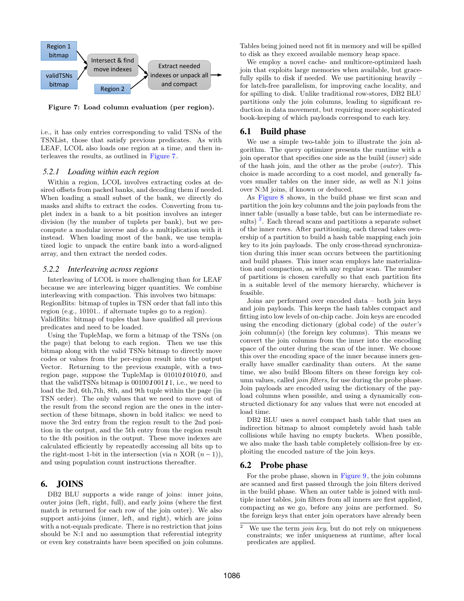

Figure 7: Load column evaluation (per region).

i.e., it has only entries corresponding to valid TSNs of the TSNList, those that satisfy previous predicates. As with LEAF, LCOL also loads one region at a time, and then interleaves the results, as outlined in Figure 7.

#### *5.2.1 Loading within each region*

Within a region, LCOL involves extracting codes at desired offsets from packed banks, and decoding them if needed. When loading a small subset of the bank, we directly do masks and shifts to extract the codes. Converting from tuplet index in a bank to a bit position involves an integer division (by the number of tuplets per bank), but we precompute a modular inverse and do a multiplication with it instead. When loading most of the bank, we use templatized logic to unpack the entire bank into a word-aligned array, and then extract the needed codes.

#### *5.2.2 Interleaving across regions*

Interleaving of LCOL is more challenging than for LEAF because we are interleaving bigger quantities. We combine interleaving with compaction. This involves two bitmaps: RegionBits: bitmap of tuples in TSN order that fall into this region (e.g., 10101.. if alternate tuples go to a region). ValidBits: bitmap of tuples that have qualified all previous predicates and need to be loaded.

Using the TupleMap, we form a bitmap of the TSNs (on the page) that belong to each region. Then we use this bitmap along with the valid TSNs bitmap to directly move codes or values from the per-region result into the output Vector. Returning to the previous example, with a tworegion page, suppose the TupleMap is  $01010101010$ , and that the validTSNs bitmap is  $0010010011$ , i.e., we need to load the 3rd, 6th,7th, 8th, and 9th tuple within the page (in TSN order). The only values that we need to move out of the result from the second region are the ones in the intersection of these bitmaps, shown in bold italics: we need to move the 3rd entry from the region result to the 2nd position in the output, and the 5th entry from the region result to the 4th position in the output. These move indexes are calculated efficiently by repeatedly accessing all bits up to the right-most 1-bit in the intersection (via n XOR  $(n-1)$ ), and using population count instructions thereafter.

# 6. JOINS

DB2 BLU supports a wide range of joins: inner joins, outer joins (left, right, full), and early joins (where the first match is returned for each row of the join outer). We also support anti-joins (inner, left, and right), which are joins with a not-equals predicate. There is no restriction that joins should be N:1 and no assumption that referential integrity or even key constraints have been specified on join columns. Tables being joined need not fit in memory and will be spilled to disk as they exceed available memory heap space.

We employ a novel cache- and multicore-optimized hash join that exploits large memories when available, but gracefully spills to disk if needed. We use partitioning heavily – for latch-free parallelism, for improving cache locality, and for spilling to disk. Unlike traditional row-stores, DB2 BLU partitions only the join columns, leading to significant reduction in data movement, but requiring more sophisticated book-keeping of which payloads correspond to each key.

#### 6.1 Build phase

We use a simple two-table join to illustrate the join algorithm. The query optimizer presents the runtime with a join operator that specifies one side as the build (inner) side of the hash join, and the other as the probe (outer). This choice is made according to a cost model, and generally favors smaller tables on the inner side, as well as N:1 joins over N:M joins, if known or deduced.

As Figure 8 shows, in the build phase we first scan and partition the join key columns and the join payloads from the inner table (usually a base table, but can be intermediate results)  $^2$ . Each thread scans and partitions a separate subset of the inner rows. After partitioning, each thread takes ownership of a partition to build a hash table mapping each join key to its join payloads. The only cross-thread synchronization during this inner scan occurs between the partitioning and build phases. This inner scan employs late materialization and compaction, as with any regular scan. The number of partitions is chosen carefully so that each partition fits in a suitable level of the memory hierarchy, whichever is feasible.

Joins are performed over encoded data – both join keys and join payloads. This keeps the hash tables compact and fitting into low levels of on-chip cache. Join keys are encoded using the encoding dictionary (global code) of the outer's join column(s) (the foreign key columns). This means we convert the join columns from the inner into the encoding space of the outer during the scan of the inner. We choose this over the encoding space of the inner because inners generally have smaller cardinality than outers. At the same time, we also build Bloom filters on these foreign key column values, called *join filters*, for use during the probe phase. Join payloads are encoded using the dictionary of the payload columns when possible, and using a dynamically constructed dictionary for any values that were not encoded at load time.

DB2 BLU uses a novel compact hash table that uses an indirection bitmap to almost completely avoid hash table collisions while having no empty buckets. When possible, we also make the hash table completely collision-free by exploiting the encoded nature of the join keys.

#### 6.2 Probe phase

For the probe phase, shown in Figure 9, the join columns are scanned and first passed through the join filters derived in the build phase. When an outer table is joined with multiple inner tables, join filters from all inners are first applied, compacting as we go, before any joins are performed. So the foreign keys that enter join operators have already been

<sup>&</sup>lt;sup>2</sup> We use the term *join key*, but do not rely on uniqueness constraints; we infer uniqueness at runtime, after local predicates are applied.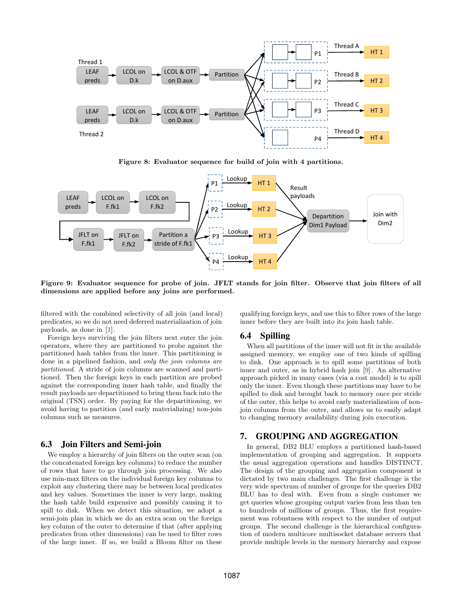

Figure 8: Evaluator sequence for build of join with 4 partitions.



Figure 9: Evaluator sequence for probe of join. JFLT stands for join filter. Observe that join filters of all dimensions are applied before any joins are performed.

filtered with the combined selectivity of all join (and local) predicates, so we do not need deferred materialization of join payloads, as done in [1].

Foreign keys surviving the join filters next enter the join operators, where they are partitioned to probe against the partitioned hash tables from the inner. This partitioning is done in a pipelined fashion, and only the join columns are partitioned. A stride of join columns are scanned and partitioned. Then the foreign keys in each partition are probed against the corresponding inner hash table, and finally the result payloads are departitioned to bring them back into the original (TSN) order. By paying for the departitioning, we avoid having to partition (and early materializing) non-join columns such as measures.

## 6.3 Join Filters and Semi-join

We employ a hierarchy of join filters on the outer scan (on the concatenated foreign key columns) to reduce the number of rows that have to go through join processing. We also use min-max filters on the individual foreign key columns to exploit any clustering there may be between local predicates and key values. Sometimes the inner is very large, making the hash table build expensive and possibly causing it to spill to disk. When we detect this situation, we adopt a semi-join plan in which we do an extra scan on the foreign key column of the outer to determine if that (after applying predicates from other dimensions) can be used to filter rows of the large inner. If so, we build a Bloom filter on these

qualifying foreign keys, and use this to filter rows of the large inner before they are built into its join hash table.

## 6.4 Spilling

When all partitions of the inner will not fit in the available assigned memory, we employ one of two kinds of spilling to disk. One approach is to spill some partitions of both inner and outer, as in hybrid hash join [9]. An alternative approach picked in many cases (via a cost model) is to spill only the inner. Even though these partitions may have to be spilled to disk and brought back to memory once per stride of the outer, this helps to avoid early materialization of nonjoin columns from the outer, and allows us to easily adapt to changing memory availability during join execution.

## 7. GROUPING AND AGGREGATION

In general, DB2 BLU employs a partitioned hash-based implementation of grouping and aggregation. It supports the usual aggregation operations and handles DISTINCT. The design of the grouping and aggregation component is dictated by two main challenges. The first challenge is the very wide spectrum of number of groups for the queries DB2 BLU has to deal with. Even from a single customer we get queries whose grouping output varies from less than ten to hundreds of millions of groups. Thus, the first requirement was robustness with respect to the number of output groups. The second challenge is the hierarchical configuration of modern multicore multisocket database servers that provide multiple levels in the memory hierarchy and expose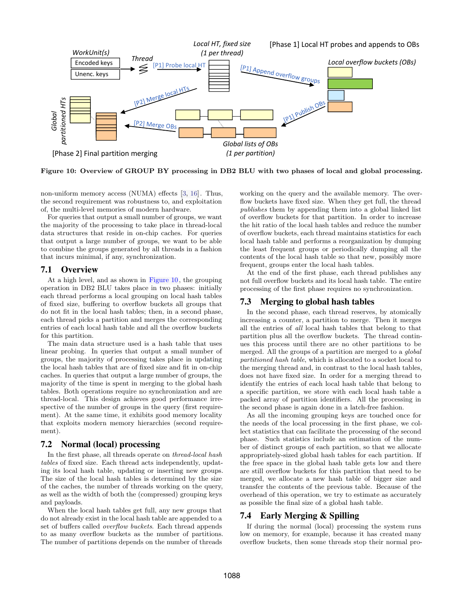

Figure 10: Overview of GROUP BY processing in DB2 BLU with two phases of local and global processing.

non-uniform memory access (NUMA) effects [3, 16]. Thus, the second requirement was robustness to, and exploitation of, the multi-level memories of modern hardware.

For queries that output a small number of groups, we want the majority of the processing to take place in thread-local data structures that reside in on-chip caches. For queries that output a large number of groups, we want to be able to combine the groups generated by all threads in a fashion that incurs minimal, if any, synchronization.

## 7.1 Overview

At a high level, and as shown in Figure 10, the grouping operation in DB2 BLU takes place in two phases: initially each thread performs a local grouping on local hash tables of fixed size, buffering to overflow buckets all groups that do not fit in the local hash tables; then, in a second phase, each thread picks a partition and merges the corresponding entries of each local hash table and all the overflow buckets for this partition.

The main data structure used is a hash table that uses linear probing. In queries that output a small number of groups, the majority of processing takes place in updating the local hash tables that are of fixed size and fit in on-chip caches. In queries that output a large number of groups, the majority of the time is spent in merging to the global hash tables. Both operations require no synchronization and are thread-local. This design achieves good performance irrespective of the number of groups in the query (first requirement). At the same time, it exhibits good memory locality that exploits modern memory hierarchies (second requirement).

# 7.2 Normal (local) processing

In the first phase, all threads operate on *thread-local hash* tables of fixed size. Each thread acts independently, updating its local hash table, updating or inserting new groups. The size of the local hash tables is determined by the size of the caches, the number of threads working on the query, as well as the width of both the (compressed) grouping keys and payloads.

When the local hash tables get full, any new groups that do not already exist in the local hash table are appended to a set of buffers called overflow buckets. Each thread appends to as many overflow buckets as the number of partitions. The number of partitions depends on the number of threads working on the query and the available memory. The overflow buckets have fixed size. When they get full, the thread publishes them by appending them into a global linked list of overflow buckets for that partition. In order to increase the hit ratio of the local hash tables and reduce the number of overflow buckets, each thread maintains statistics for each local hash table and performs a reorganization by dumping the least frequent groups or periodically dumping all the contents of the local hash table so that new, possibly more frequent, groups enter the local hash tables.

At the end of the first phase, each thread publishes any not full overflow buckets and its local hash table. The entire processing of the first phase requires no synchronization.

# 7.3 Merging to global hash tables

In the second phase, each thread reserves, by atomically increasing a counter, a partition to merge. Then it merges all the entries of all local hash tables that belong to that partition plus all the overflow buckets. The thread continues this process until there are no other partitions to be merged. All the groups of a partition are merged to a *global* partitioned hash table, which is allocated to a socket local to the merging thread and, in contrast to the local hash tables, does not have fixed size. In order for a merging thread to identify the entries of each local hash table that belong to a specific partition, we store with each local hash table a packed array of partition identifiers. All the processing in the second phase is again done in a latch-free fashion.

As all the incoming grouping keys are touched once for the needs of the local processing in the first phase, we collect statistics that can facilitate the processing of the second phase. Such statistics include an estimation of the number of distinct groups of each partition, so that we allocate appropriately-sized global hash tables for each partition. If the free space in the global hash table gets low and there are still overflow buckets for this partition that need to be merged, we allocate a new hash table of bigger size and transfer the contents of the previous table. Because of the overhead of this operation, we try to estimate as accurately as possible the final size of a global hash table.

# 7.4 Early Merging & Spilling

If during the normal (local) processing the system runs low on memory, for example, because it has created many overflow buckets, then some threads stop their normal pro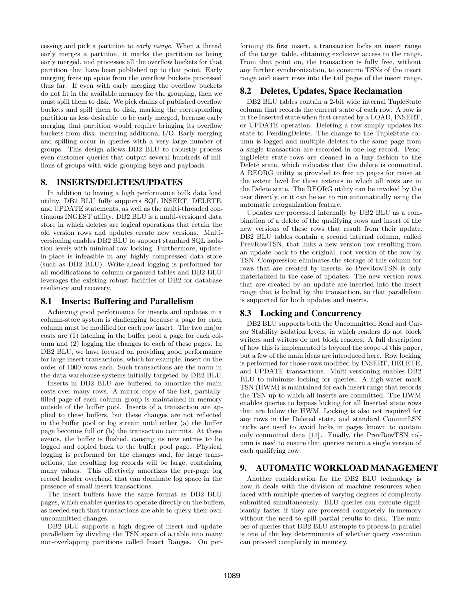cessing and pick a partition to early merge. When a thread early merges a partition, it marks the partition as being early merged, and processes all the overflow buckets for that partition that have been published up to that point. Early merging frees up space from the overflow buckets processed thus far. If even with early merging the overflow buckets do not fit in the available memory for the grouping, then we must spill them to disk. We pick chains of published overflow buckets and spill them to disk, marking the corresponding partition as less desirable to be early merged, because early merging that partition would require bringing its overflow buckets from disk, incurring additional I/O. Early merging and spilling occur in queries with a very large number of groups. This design allows DB2 BLU to robustly process even customer queries that output several hundreds of millions of groups with wide grouping keys and payloads.

# 8. INSERTS/DELETES/UPDATES

In addition to having a high performance bulk data load utility, DB2 BLU fully supports SQL INSERT, DELETE, and UPDATE statements, as well as the multi-threaded continuous INGEST utility. DB2 BLU is a multi-versioned data store in which deletes are logical operations that retain the old version rows and updates create new versions. Multiversioning enables DB2 BLU to support standard SQL isolation levels with minimal row locking. Furthermore, updatein-place is infeasible in any highly compressed data store (such as DB2 BLU). Write-ahead logging is performed for all modifications to column-organized tables and DB2 BLU leverages the existing robust facilities of DB2 for database resiliency and recovery.

#### 8.1 Inserts: Buffering and Parallelism

Achieving good performance for inserts and updates in a column-store system is challenging because a page for each column must be modified for each row insert. The two major costs are (1) latching in the buffer pool a page for each column and (2) logging the changes to each of these pages. In DB<sub>2</sub> BLU, we have focused on providing good performance for large insert transactions, which for example, insert on the order of 1000 rows each. Such transactions are the norm in the data warehouse systems initially targeted by DB2 BLU.

Inserts in DB2 BLU are buffered to amortize the main costs over many rows. A mirror copy of the last, partiallyfilled page of each column group is maintained in memory outside of the buffer pool. Inserts of a transaction are applied to these buffers, but these changes are not reflected in the buffer pool or log stream until either (a) the buffer page becomes full or (b) the transaction commits. At these events, the buffer is flushed, causing its new entries to be logged and copied back to the buffer pool page. Physical logging is performed for the changes and, for large transactions, the resulting log records will be large, containing many values. This effectively amortizes the per-page log record header overhead that can dominate log space in the presence of small insert transactions.

The insert buffers have the same format as DB2 BLU pages, which enables queries to operate directly on the buffers, as needed such that transactions are able to query their own uncommitted changes.

DB2 BLU supports a high degree of insert and update parallelism by dividing the TSN space of a table into many non-overlapping partitions called Insert Ranges. On performing its first insert, a transaction locks an insert range of the target table, obtaining exclusive access to the range. From that point on, the transaction is fully free, without any further synchronization, to consume TSNs of the insert range and insert rows into the tail pages of the insert range.

## 8.2 Deletes, Updates, Space Reclamation

DB2 BLU tables contain a 2-bit wide internal TupleState column that records the current state of each row. A row is in the Inserted state when first created by a LOAD, INSERT, or UPDATE operation. Deleting a row simply updates its state to PendingDelete. The change to the TupleState column is logged and multiple deletes to the same page from a single transaction are recorded in one log record. PendingDelete state rows are cleaned in a lazy fashion to the Delete state, which indicates that the delete is committed. A REORG utility is provided to free up pages for reuse at the extent level for those extents in which all rows are in the Delete state. The REORG utility can be invoked by the user directly, or it can be set to run automatically using the automatic reorganization feature.

Updates are processed internally by DB2 BLU as a combination of a delete of the qualifying rows and insert of the new versions of these rows that result from their update. DB2 BLU tables contain a second internal column, called PrevRowTSN, that links a new version row resulting from an update back to the original, root version of the row by TSN. Compression eliminates the storage of this column for rows that are created by inserts, so PrevRowTSN is only materialized in the case of updates. The new version rows that are created by an update are inserted into the insert range that is locked by the transaction, so that parallelism is supported for both updates and inserts.

### 8.3 Locking and Concurrency

DB2 BLU supports both the Uncommitted Read and Cursor Stability isolation levels, in which readers do not block writers and writers do not block readers. A full description of how this is implemented is beyond the scope of this paper, but a few of the main ideas are introduced here. Row locking is performed for those rows modified by INSERT, DELETE, and UPDATE transactions. Multi-versioning enables DB2 BLU to minimize locking for queries. A high-water mark TSN (HWM) is maintained for each insert range that records the TSN up to which all inserts are committed. The HWM enables queries to bypass locking for all Inserted state rows that are below the HWM. Locking is also not required for any rows in the Deleted state, and standard CommitLSN tricks are used to avoid locks in pages known to contain only committed data [17]. Finally, the PrevRowTSN column is used to ensure that queries return a single version of each qualifying row.

## 9. AUTOMATIC WORKLOAD MANAGEMENT

Another consideration for the DB2 BLU technology is how it deals with the division of machine resources when faced with multiple queries of varying degrees of complexity submitted simultaneously. BLU queries can execute significantly faster if they are processed completely in-memory without the need to spill partial results to disk. The number of queries that DB2 BLU attempts to process in parallel is one of the key determinants of whether query execution can proceed completely in memory.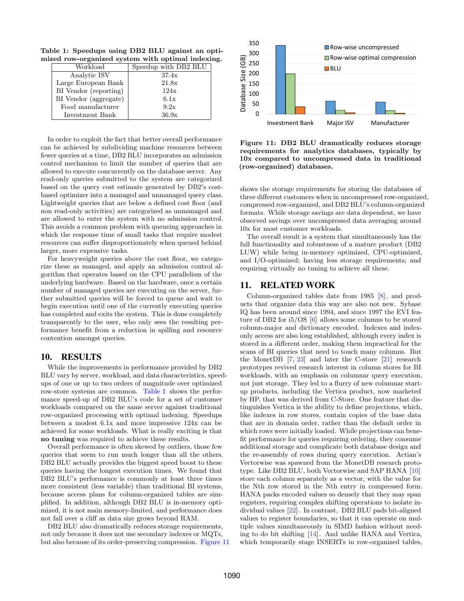Table 1: Speedups using DB2 BLU against an optimized row-organized system with optimal indexing.

| Workload              | Speedup with DB2 BLU |  |
|-----------------------|----------------------|--|
| Analytic ISV          | 37.4x                |  |
| Large European Bank   | 21.8x                |  |
| BI Vendor (reporting) | 124x                 |  |
| BI Vendor (aggregate) | 6.1x                 |  |
| Food manufacturer     | 9.2x                 |  |
| Investment Bank       | 36.9x                |  |

In order to exploit the fact that better overall performance can be achieved by subdividing machine resources between fewer queries at a time, DB2 BLU incorporates an admission control mechanism to limit the number of queries that are allowed to execute concurrently on the database server. Any read-only queries submitted to the system are categorized based on the query cost estimate generated by DB2's costbased optimizer into a managed and unmanaged query class. Lightweight queries that are below a defined cost floor (and non read-only activities) are categorized as unmanaged and are allowed to enter the system with no admission control. This avoids a common problem with queueing approaches in which the response time of small tasks that require modest resources can suffer disproportionately when queued behind larger, more expensive tasks.

For heavyweight queries above the cost floor, we categorize these as managed, and apply an admission control algorithm that operates based on the CPU parallelism of the underlying hardware. Based on the hardware, once a certain number of managed queries are executing on the server, further submitted queries will be forced to queue and wait to begin execution until one of the currently executing queries has completed and exits the system. This is done completely transparently to the user, who only sees the resulting performance benefit from a reduction in spilling and resource contention amongst queries.

## 10. RESULTS

While the improvements in performance provided by DB2 BLU vary by server, workload, and data characteristics, speedups of one or up to two orders of magnitude over optimized row-store systems are common. Table 1 shows the performance speed-up of DB2 BLU's code for a set of customer workloads compared on the same server against traditional row-organized processing with optimal indexing. Speedups between a modest 6.1x and more impressive 124x can be achieved for some workloads. What is really exciting is that no tuning was required to achieve these results.

Overall performance is often skewed by outliers, those few queries that seem to run much longer than all the others. DB2 BLU actually provides the biggest speed boost to these queries having the longest execution times. We found that DB2 BLU's performance is commonly at least three times more consistent (less variable) than traditional BI systems, because access plans for column-organized tables are simplified. In addition, although DB2 BLU is in-memory optimized, it is not main memory-limited, and performance does not fall over a cliff as data size grows beyond RAM.

DB2 BLU also dramatically reduces storage requirements, not only because it does not use secondary indexes or MQTs, but also because of its order-preserving compression. Figure 11



Figure 11: DB2 BLU dramatically reduces storage requirements for analytics databases, typically by 10x compared to uncompressed data in traditional (row-organized) databases.

shows the storage requirements for storing the databases of three different customers when in uncompressed row-organized, compressed row-organized, and DB2 BLU's column-organized formats. While storage savings are data dependent, we have observed savings over uncompressed data averaging around 10x for most customer workloads.

The overall result is a system that simultaneously has the full functionality and robustness of a mature product (DB2 LUW) while being in-memory optimized, CPU-optimized, and I/O-optimized; having less storage requirements; and requiring virtually no tuning to achieve all these.

## 11. RELATED WORK

Column-organized tables date from 1985 [8], and products that organize data this way are also not new. Sybase IQ has been around since 1994, and since 1997 the EVI feature of DB2 for i5/OS [6] allows some columns to be stored column-major and dictionary encoded. Indexes and indexonly access are also long established, although every index is stored in a different order, making them impractical for the scans of BI queries that need to touch many columns. But the MonetDB [7, 23] and later the C-store [21] research prototypes revived research interest in column stores for BI workloads, with an emphasis on columnar query execution, not just storage. They led to a flurry of new columnar startup products, including the Vertica product, now marketed by HP, that was derived from C-Store. One feature that distinguishes Vertica is the ability to define projections, which, like indexes in row stores, contain copies of the base data that are in domain order, rather than the default order in which rows were initially loaded. While projections can benefit performance for queries requiring ordering, they consume additional storage and complicate both database design and the re-assembly of rows during query execution. Actian's Vectorwise was spawned from the MonetDB research prototype. Like DB2 BLU, both Vectorwise and SAP HANA [10] store each column separately as a vector, with the value for the Nth row stored in the Nth entry in compressed form. HANA packs encoded values so densely that they may span registers, requiring complex shifting operations to isolate individual values [22]. In contrast, DB2 BLU pads bit-aligned values to register boundaries, so that it can operate on multiple values simultaneously in SIMD fashion without needing to do bit shifting [14]. And unlike HANA and Vertica, which temporarily stage INSERTs in row-organized tables,